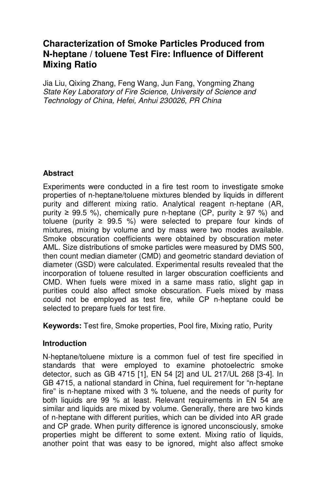# **Characterization of Smoke Particles Produced from N-heptane / toluene Test Fire: Influence of Different Mixing Ratio**

Jia Liu, Qixing Zhang, Feng Wang, Jun Fang, Yongming Zhang State Key Laboratory of Fire Science, University of Science and Technology of China, Hefei, Anhui 230026, PR China

# **Abstract**

Experiments were conducted in a fire test room to investigate smoke properties of n-heptane/toluene mixtures blended by liquids in different purity and different mixing ratio. Analytical reagent n-heptane (AR, purity  $\geq 99.5$  %), chemically pure n-heptane (CP, purity  $\geq 97$  %) and toluene (purity  $\geq$  99.5 %) were selected to prepare four kinds of mixtures, mixing by volume and by mass were two modes available. Smoke obscuration coefficients were obtained by obscuration meter AML. Size distributions of smoke particles were measured by DMS 500, then count median diameter (CMD) and geometric standard deviation of diameter (GSD) were calculated. Experimental results revealed that the incorporation of toluene resulted in larger obscuration coefficients and CMD. When fuels were mixed in a same mass ratio, slight gap in purities could also affect smoke obscuration. Fuels mixed by mass could not be employed as test fire, while CP n-heptane could be selected to prepare fuels for test fire.

**Keywords:** Test fire, Smoke properties, Pool fire, Mixing ratio, Purity

# **Introduction**

N-heptane/toluene mixture is a common fuel of test fire specified in standards that were employed to examine photoelectric smoke detector, such as GB 4715 [1], EN 54 [2] and UL 217/UL 268 [3-4]. In GB 4715, a national standard in China, fuel requirement for "n-heptane fire" is n-heptane mixed with 3 % toluene, and the needs of purity for both liquids are 99 % at least. Relevant requirements in EN 54 are similar and liquids are mixed by volume. Generally, there are two kinds of n-heptane with different purities, which can be divided into AR grade and CP grade. When purity difference is ignored unconsciously, smoke properties might be different to some extent. Mixing ratio of liquids, another point that was easy to be ignored, might also affect smoke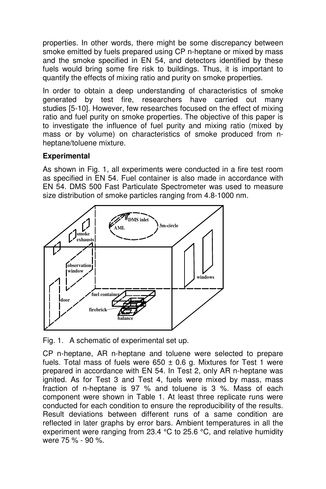properties. In other words, there might be some discrepancy between smoke emitted by fuels prepared using CP n-heptane or mixed by mass and the smoke specified in EN 54, and detectors identified by these fuels would bring some fire risk to buildings. Thus, it is important to quantify the effects of mixing ratio and purity on smoke properties.

In order to obtain a deep understanding of characteristics of smoke generated by test fire, researchers have carried out many studies [5-10]. However, few researches focused on the effect of mixing ratio and fuel purity on smoke properties. The objective of this paper is to investigate the influence of fuel purity and mixing ratio (mixed by mass or by volume) on characteristics of smoke produced from nheptane/toluene mixture.

## **Experimental**

As shown in Fig. 1, all experiments were conducted in a fire test room as specified in EN 54. Fuel container is also made in accordance with EN 54. DMS 500 Fast Particulate Spectrometer was used to measure size distribution of smoke particles ranging from 4.8-1000 nm.



Fig. 1. A schematic of experimental set up.

CP n-heptane, AR n-heptane and toluene were selected to prepare fuels. Total mass of fuels were  $650 \pm 0.6$  g. Mixtures for Test 1 were prepared in accordance with EN 54. In Test 2, only AR n-heptane was ignited. As for Test 3 and Test 4, fuels were mixed by mass, mass fraction of n-heptane is 97 % and toluene is 3 %. Mass of each component were shown in Table 1. At least three replicate runs were conducted for each condition to ensure the reproducibility of the results. Result deviations between different runs of a same condition are reflected in later graphs by error bars. Ambient temperatures in all the experiment were ranging from 23.4 °C to 25.6 °C, and relative humidity were 75 % - 90 %.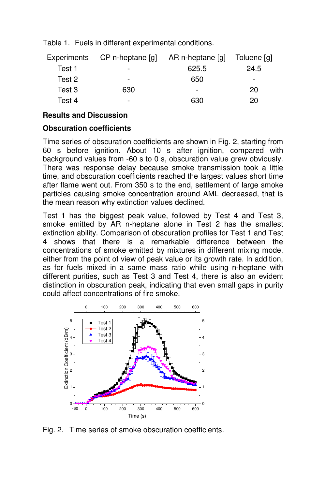| Experiments | CP n-heptane [g] | AR n-heptane [g]         | Toluene [g] |
|-------------|------------------|--------------------------|-------------|
| Test 1      | -                | 625.5                    | 24.5        |
| Test 2      | -                | 650                      |             |
| Test 3      | 630              | $\overline{\phantom{0}}$ | 20          |
| Test 4      | -                | 630                      | 20          |

Table 1. Fuels in different experimental conditions.

### **Results and Discussion**

#### **Obscuration coefficients**

Time series of obscuration coefficients are shown in Fig. 2, starting from 60 s before ignition. About 10 s after ignition, compared with background values from -60 s to 0 s, obscuration value grew obviously. There was response delay because smoke transmission took a little time, and obscuration coefficients reached the largest values short time after flame went out. From 350 s to the end, settlement of large smoke particles causing smoke concentration around AML decreased, that is the mean reason why extinction values declined.

Test 1 has the biggest peak value, followed by Test 4 and Test 3, smoke emitted by AR n-heptane alone in Test 2 has the smallest extinction ability. Comparison of obscuration profiles for Test 1 and Test 4 shows that there is a remarkable difference between the concentrations of smoke emitted by mixtures in different mixing mode, either from the point of view of peak value or its growth rate. In addition, as for fuels mixed in a same mass ratio while using n-heptane with different purities, such as Test 3 and Test 4, there is also an evident distinction in obscuration peak, indicating that even small gaps in purity could affect concentrations of fire smoke.



Fig. 2. Time series of smoke obscuration coefficients.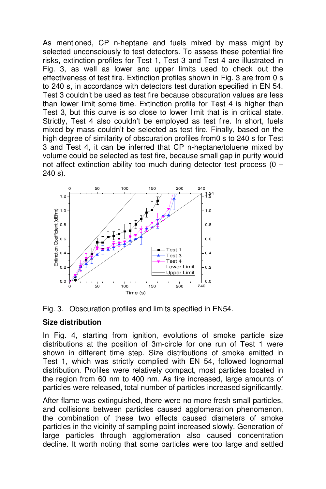As mentioned, CP n-heptane and fuels mixed by mass might by selected unconsciously to test detectors. To assess these potential fire risks, extinction profiles for Test 1, Test 3 and Test 4 are illustrated in Fig. 3, as well as lower and upper limits used to check out the effectiveness of test fire. Extinction profiles shown in Fig. 3 are from 0 s to 240 s, in accordance with detectors test duration specified in EN 54. Test 3 couldn't be used as test fire because obscuration values are less than lower limit some time. Extinction profile for Test 4 is higher than Test 3, but this curve is so close to lower limit that is in critical state. Strictly, Test 4 also couldn't be employed as test fire. In short, fuels mixed by mass couldn't be selected as test fire. Finally, based on the high degree of similarity of obscuration profiles from 0 s to 240 s for Test 3 and Test 4, it can be inferred that CP n-heptane/toluene mixed by volume could be selected as test fire, because small gap in purity would not affect extinction ability too much during detector test process (0 – 240 s).





## **Size distribution**

In Fig. 4, starting from ignition, evolutions of smoke particle size distributions at the position of 3m-circle for one run of Test 1 were shown in different time step. Size distributions of smoke emitted in Test 1, which was strictly complied with EN 54, followed lognormal distribution. Profiles were relatively compact, most particles located in the region from 60 nm to 400 nm. As fire increased, large amounts of particles were released, total number of particles increased significantly.

After flame was extinguished, there were no more fresh small particles, and collisions between particles caused agglomeration phenomenon, the combination of these two effects caused diameters of smoke particles in the vicinity of sampling point increased slowly. Generation of large particles through agglomeration also caused concentration decline. It worth noting that some particles were too large and settled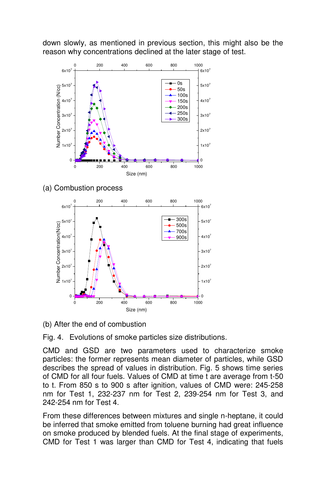down slowly, as mentioned in previous section, this might also be the reason why concentrations declined at the later stage of test.



(a) Combustion process

![](_page_4_Figure_3.jpeg)

(b) After the end of combustion

Fig. 4. Evolutions of smoke particles size distributions.

CMD and GSD are two parameters used to characterize smoke particles: the former represents mean diameter of particles, while GSD describes the spread of values in distribution. Fig. 5 shows time series of CMD for all four fuels. Values of CMD at time t are average from t-50 to t. From 850 s to 900 s after ignition, values of CMD were: 245-258 nm for Test 1, 232-237 nm for Test 2, 239-254 nm for Test 3, and 242-254 nm for Test 4.

From these differences between mixtures and single n-heptane, it could be inferred that smoke emitted from toluene burning had great influence on smoke produced by blended fuels. At the final stage of experiments, CMD for Test 1 was larger than CMD for Test 4, indicating that fuels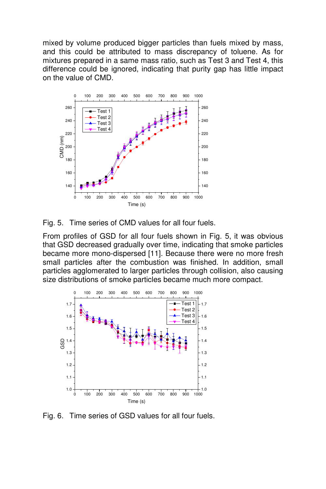mixed by volume produced bigger particles than fuels mixed by mass, and this could be attributed to mass discrepancy of toluene. As for mixtures prepared in a same mass ratio, such as Test 3 and Test 4, this difference could be ignored, indicating that purity gap has little impact on the value of CMD.

![](_page_5_Figure_1.jpeg)

Fig. 5. Time series of CMD values for all four fuels.

From profiles of GSD for all four fuels shown in Fig. 5, it was obvious that GSD decreased gradually over time, indicating that smoke particles became more mono-dispersed [11]. Because there were no more fresh small particles after the combustion was finished. In addition, small particles agglomerated to larger particles through collision, also causing size distributions of smoke particles became much more compact.

![](_page_5_Figure_4.jpeg)

Fig. 6. Time series of GSD values for all four fuels.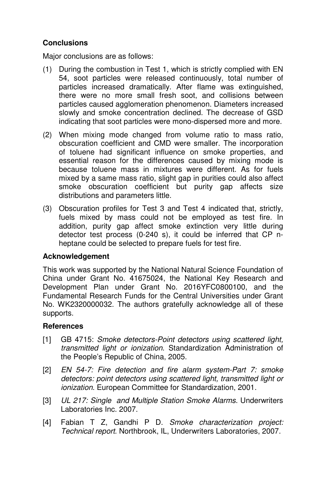# **Conclusions**

Major conclusions are as follows:

- (1) During the combustion in Test 1, which is strictly complied with EN 54, soot particles were released continuously, total number of particles increased dramatically. After flame was extinguished, there were no more small fresh soot, and collisions between particles caused agglomeration phenomenon. Diameters increased slowly and smoke concentration declined. The decrease of GSD indicating that soot particles were mono-dispersed more and more.
- (2) When mixing mode changed from volume ratio to mass ratio, obscuration coefficient and CMD were smaller. The incorporation of toluene had significant influence on smoke properties, and essential reason for the differences caused by mixing mode is because toluene mass in mixtures were different. As for fuels mixed by a same mass ratio, slight gap in purities could also affect smoke obscuration coefficient but purity gap affects size distributions and parameters little.
- (3) Obscuration profiles for Test 3 and Test 4 indicated that, strictly, fuels mixed by mass could not be employed as test fire. In addition, purity gap affect smoke extinction very little during detector test process (0-240 s), it could be inferred that CP nheptane could be selected to prepare fuels for test fire.

## **Acknowledgement**

This work was supported by the National Natural Science Foundation of China under Grant No. 41675024, the National Key Research and Development Plan under Grant No. 2016YFC0800100, and the Fundamental Research Funds for the Central Universities under Grant No. WK2320000032. The authors gratefully acknowledge all of these supports.

#### **References**

- [1] GB 4715: Smoke detectors-Point detectors using scattered light, transmitted light or ionization. Standardization Administration of the People's Republic of China, 2005.
- [2] EN 54-7: Fire detection and fire alarm system-Part 7: smoke detectors: point detectors using scattered light, transmitted light or ionization. European Committee for Standardization, 2001.
- [3] UL 217: Single and Multiple Station Smoke Alarms. Underwriters Laboratories Inc. 2007.
- [4] Fabian T Z, Gandhi P D. Smoke characterization project: Technical report. Northbrook, IL, Underwriters Laboratories, 2007.